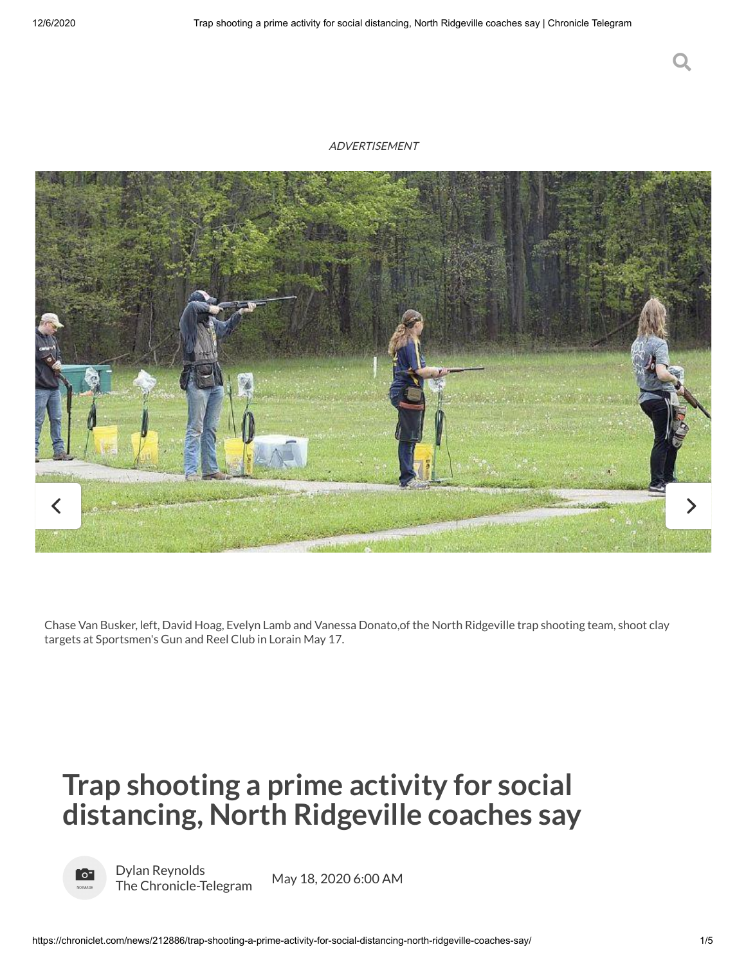### ADVERTISEMENT



Chase Van Busker, left, David Hoag, Evelyn Lamb and Vanessa Donato,of the North Ridgeville trap shooting team, shoot clay targets at [Sportsmen's](javascript:void(0);) Gun and Reel Club in Lorain May 17.

# **Trap shooting a prime activity for social distancing, North Ridgeville coaches say**



Dylan Reynolds The [Chronicle-Telegram](https://chroniclet.com/author.aspx?authorId=13472)

May 18, 2020 6:00 AM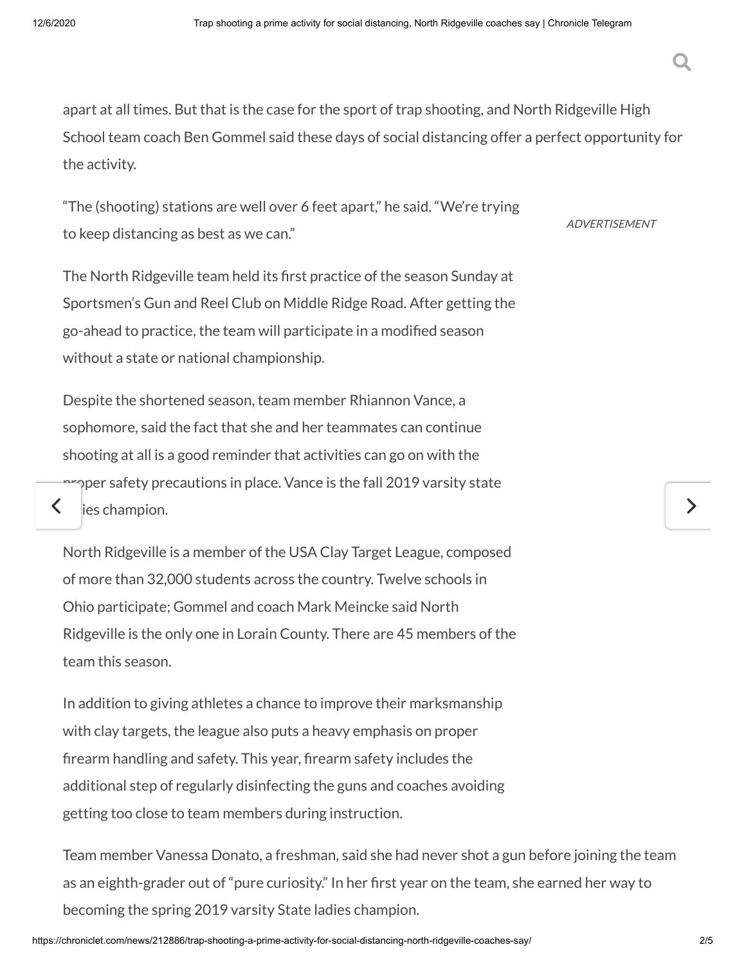apart at all times. But that is the case for the sport of trap shooting, and North Ridgeville High School team coach Ben Gommel said these days of social distancing offer a perfect opportunity for the activity.

"The (shooting) stations are well over 6 feet apart," he said. "We're trying to keep distancing as best as we can."

ADVERTISEMENT

The North Ridgeville team held its first practice of the season Sunday at Sportsmen's Gun and Reel Club on Middle Ridge Road. After getting the go-ahead to practice, the team will participate in a modified season without a state or national championship.

Despite the shortened season, team member Rhiannon Vance, a sophomore, said the fact that she and her teammates can continue shooting at all is a good reminder that activities can go on with the  $\sim$ per safety precautions in place. Vance is the fall 2019 varsity state

 $\left\langle \right\rangle$  les champion.

North Ridgeville is a member of the USA Clay Target League, composed of more than 32,000 students across the country. Twelve schools in Ohio participate; Gommel and coach Mark Meincke said North Ridgeville is the only one in Lorain County. There are 45 members of the team this season.

In addition to giving athletes a chance to improve their marksmanship with clay targets, the league also puts a heavy emphasis on proper firearm handling and safety. This year, firearm safety includes the additional step of regularly disinfecting the guns and coaches avoiding getting too close to team members during instruction.

Team member Vanessa Donato, a freshman, said she had never shot a gun before joining the team as an eighth-grader out of "pure curiosity." In her first year on the team, she earned her way to becoming the spring 2019 varsity State ladies champion.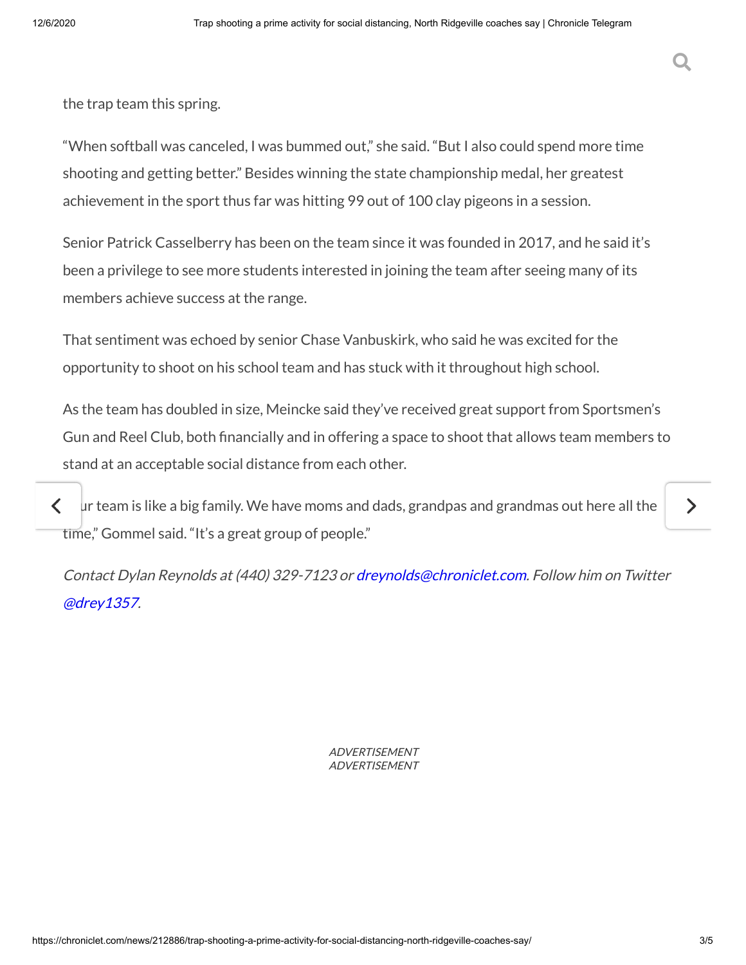the trap team this spring.

"When softball was canceled, I was bummed out," she said. "But I also could spend more time shooting and getting better." Besides winning the state championship medal, her greatest achievement in the sport thus far was hitting 99 out of 100 clay pigeons in a session.

Senior Patrick Casselberry has been on the team since it was founded in 2017, and he said it's been a privilege to see more students interested in joining the team after seeing many of its members achieve success at the range.

That sentiment was echoed by senior Chase Vanbuskirk, who said he was excited for the opportunity to shoot on his school team and has stuck with it throughout high school.

As the team has doubled in size, Meincke said they've received great support from Sportsmen's Gun and Reel Club, both financially and in offering a space to shoot that allows team members to stand at an acceptable social distance from each other.

 $\zeta$   $\bot$   $\mu$ r team is like a big family. We have moms and dads, grandpas and grandmas out here all the time," Gommel said. "It's a great group of people."

Contact Dylan Reynolds at (440) 329-7123 or [dreynolds@chroniclet.com](mailto:dreynolds@chroniclet.com). Follow him on Twitter [@drey1357](http://twitter.com/drey1357).

> ADVERTISEMENT ADVERTISEMENT

ゝ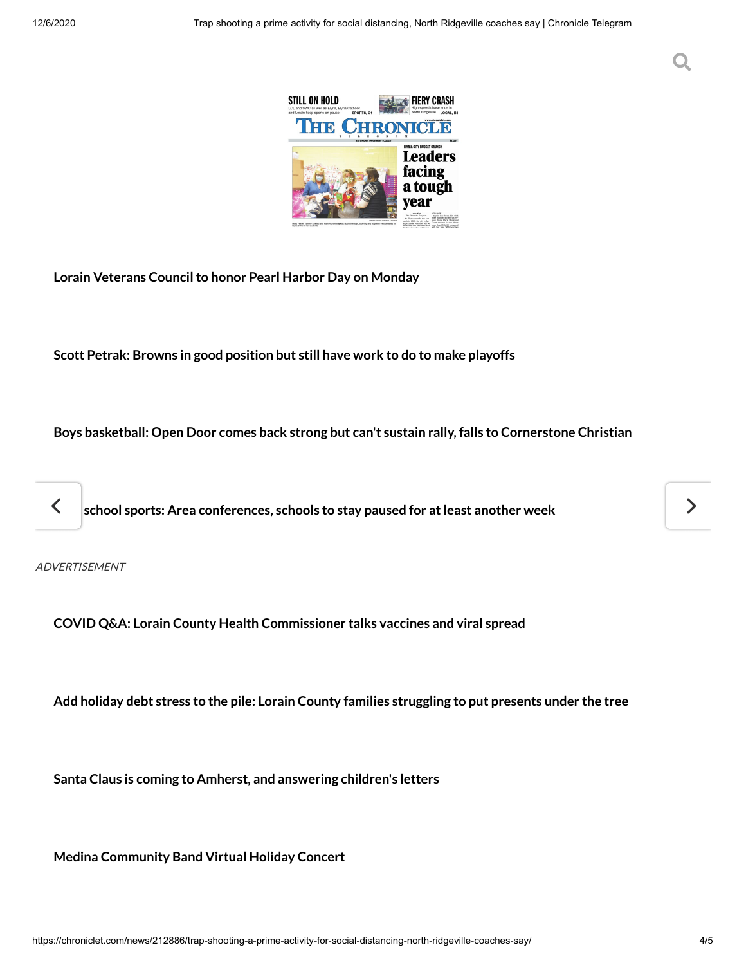#### $T_{\rm eff}$  and  $T_{\rm eff}$  are  $T_{\rm eff}$  and  $T_{\rm eff}$  and  $T_{\rm eff}$ Search for the contract of the contract of the contract of the contract of the contract of the contract of the



**Lorain Veterans [Councilto](https://chroniclet.com/news/243803/lorain-veterans-council-to-honor-pearl-harbor-day-on-monday/) honor Pearl Harbor Day on Monday**

**[Scott Petrak:](https://chroniclet.com/news/243898/scott-petrak-browns-in-good-position-but-still-have-work-to-do-to-make-playoffs/) Browns in good position but still have work to do to make playoffs**

**Boys basketball: Open Door comes back strong but can't sustain rally, falls to [Cornerstone](https://chroniclet.com/news/243895/boys-basketball-open-door-comes-back-strong-but-cant-sustain-rally-falls-to-cornerstone-christian/) Christian**

**High school sports: Area [conferences,](https://chroniclet.com/news/243889/high-school-sports-area-conferences-schools-to-stay-paused-for-at-least-another-week/) schools to stay paused for atleast another week**

ADVERTISEMENT

**COVID Q&A: Lorain County Health [Commissioner](https://chroniclet.com/news/243835/covid-qa-lorain-county-health-commissioner-talks-vaccines-and-viral-spread/) talks vaccines and viral spread**

**Add holiday [debt stress](https://chroniclet.com/news/243813/add-holiday-debt-stress-to-the-pile-lorain-county-families-struggling-to-put-presents-under-the-tree/) to the pile: Lorain County families struggling to put presents under the tree**

**Santa Claus is coming to Amherst, and [answering](https://chroniclet.com/news/243721/santa-claus-is-coming-to-amherst-and-answering-childrens-letters/) children's letters**

**Medina [Community](https://chroniclet.com/news/243734/medina-community-band-virtual-holiday-concert/) Band Virtual Holiday Concert**

ゝ